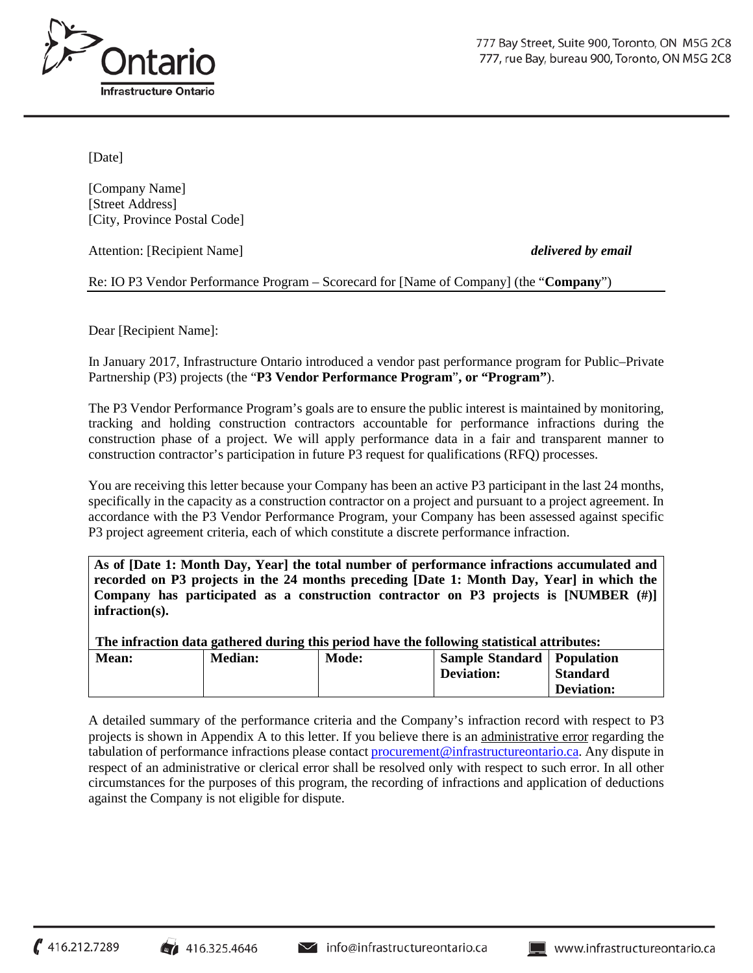

[Date]

[Company Name] [Street Address] [City, Province Postal Code]

Attention: [Recipient Name] *delivered by email*

Re: IO P3 Vendor Performance Program – Scorecard for [Name of Company] (the "**Company**")

Dear [Recipient Name]:

In January 2017, Infrastructure Ontario introduced a vendor past performance program for Public–Private Partnership (P3) projects (the "**P3 Vendor Performance Program**"**, or "Program"**).

The P3 Vendor Performance Program's goals are to ensure the public interest is maintained by monitoring, tracking and holding construction contractors accountable for performance infractions during the construction phase of a project. We will apply performance data in a fair and transparent manner to construction contractor's participation in future P3 request for qualifications (RFQ) processes.

You are receiving this letter because your Company has been an active P3 participant in the last 24 months, specifically in the capacity as a construction contractor on a project and pursuant to a project agreement. In accordance with the P3 Vendor Performance Program, your Company has been assessed against specific P3 project agreement criteria, each of which constitute a discrete performance infraction.

**As of [Date 1: Month Day, Year] the total number of performance infractions accumulated and recorded on P3 projects in the 24 months preceding [Date 1: Month Day, Year] in which the Company has participated as a construction contractor on P3 projects is [NUMBER (#)] infraction(s).**

**The infraction data gathered during this period have the following statistical attributes:**<br>Mean: **Madinity of Sample Standard Population Mean:**  $\vert$  **Median:**  $\vert$  **Mode:**  $\vert$  **Sample Standard**  $\vert$  **Population** 

| лисан. | wiculali. | <b>IVIUUC.</b> | $\alpha$ ampic $\beta$ tanuaru   1 opulation<br><b>Deviation:</b> | <b>Standard</b>   |
|--------|-----------|----------------|-------------------------------------------------------------------|-------------------|
|        |           |                |                                                                   | <b>Deviation:</b> |
|        |           |                |                                                                   |                   |

A detailed summary of the performance criteria and the Company's infraction record with respect to P3 projects is shown in Appendix A to this letter. If you believe there is an administrative error regarding the tabulation of performance infractions please contact [procurement@infrastructureontario.ca.](mailto:procurement@infrastructureontario.ca) Any dispute in respect of an administrative or clerical error shall be resolved only with respect to such error. In all other circumstances for the purposes of this program, the recording of infractions and application of deductions against the Company is not eligible for dispute.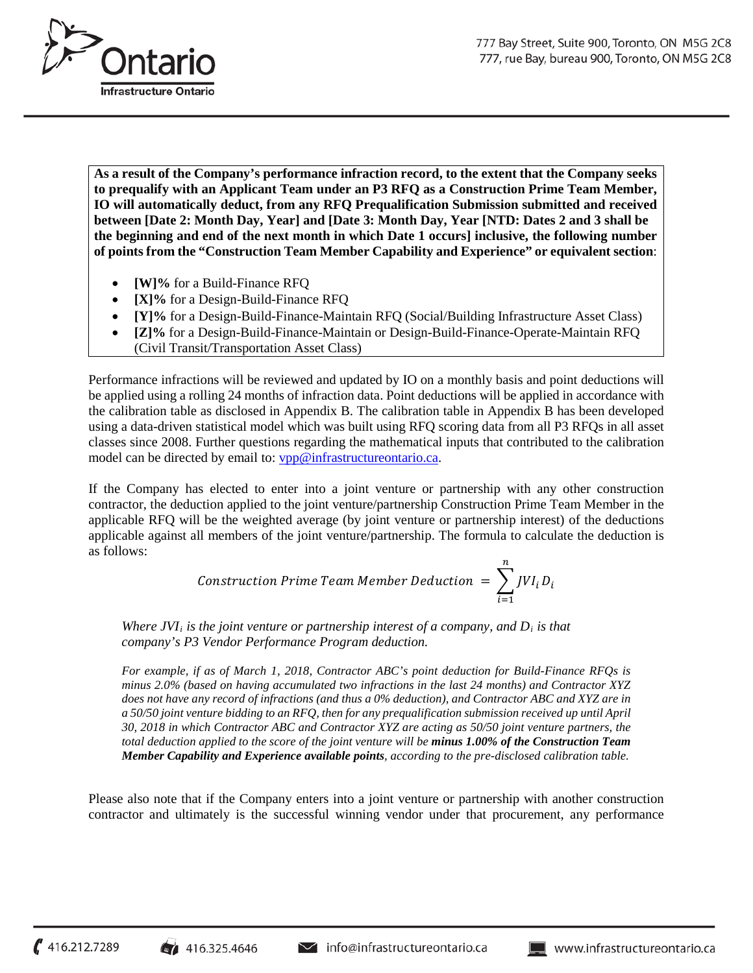

**As a result of the Company's performance infraction record, to the extent that the Company seeks to prequalify with an Applicant Team under an P3 RFQ as a Construction Prime Team Member, IO will automatically deduct, from any RFQ Prequalification Submission submitted and received between [Date 2: Month Day, Year] and [Date 3: Month Day, Year [NTD: Dates 2 and 3 shall be the beginning and end of the next month in which Date 1 occurs] inclusive, the following number of points from the "Construction Team Member Capability and Experience" or equivalent section**:

- **[W]%** for a Build-Finance RFQ
- **[X]%** for a Design-Build-Finance RFQ
- **[Y]%** for a Design-Build-Finance-Maintain RFQ (Social/Building Infrastructure Asset Class)
- **[Z]%** for a Design-Build-Finance-Maintain or Design-Build-Finance-Operate-Maintain RFQ (Civil Transit/Transportation Asset Class)

Performance infractions will be reviewed and updated by IO on a monthly basis and point deductions will be applied using a rolling 24 months of infraction data. Point deductions will be applied in accordance with the calibration table as disclosed in Appendix B. The calibration table in Appendix B has been developed using a data-driven statistical model which was built using RFQ scoring data from all P3 RFQs in all asset classes since 2008. Further questions regarding the mathematical inputs that contributed to the calibration model can be directed by email to: [vpp@infrastructureontario.ca.](mailto:vpp@infrastructureontario.ca)

If the Company has elected to enter into a joint venture or partnership with any other construction contractor, the deduction applied to the joint venture/partnership Construction Prime Team Member in the applicable RFQ will be the weighted average (by joint venture or partnership interest) of the deductions applicable against all members of the joint venture/partnership. The formula to calculate the deduction is as follows:

Construction Prime Team Member Deduction = 
$$
\sum_{i=1}^{n} JVI_i D_i
$$

*Where JVI<sub>i</sub> is the joint venture or partnership interest of a company, and D<sub><i>i</sub> is that*</sub> *company's P3 Vendor Performance Program deduction.*

*For example, if as of March 1, 2018, Contractor ABC's point deduction for Build-Finance RFQs is minus 2.0% (based on having accumulated two infractions in the last 24 months) and Contractor XYZ does not have any record of infractions (and thus a 0% deduction), and Contractor ABC and XYZ are in a 50/50 joint venture bidding to an RFQ, then for any prequalification submission received up until April 30, 2018 in which Contractor ABC and Contractor XYZ are acting as 50/50 joint venture partners, the total deduction applied to the score of the joint venture will be minus 1.00% of the Construction Team Member Capability and Experience available points, according to the pre-disclosed calibration table.*

Please also note that if the Company enters into a joint venture or partnership with another construction contractor and ultimately is the successful winning vendor under that procurement, any performance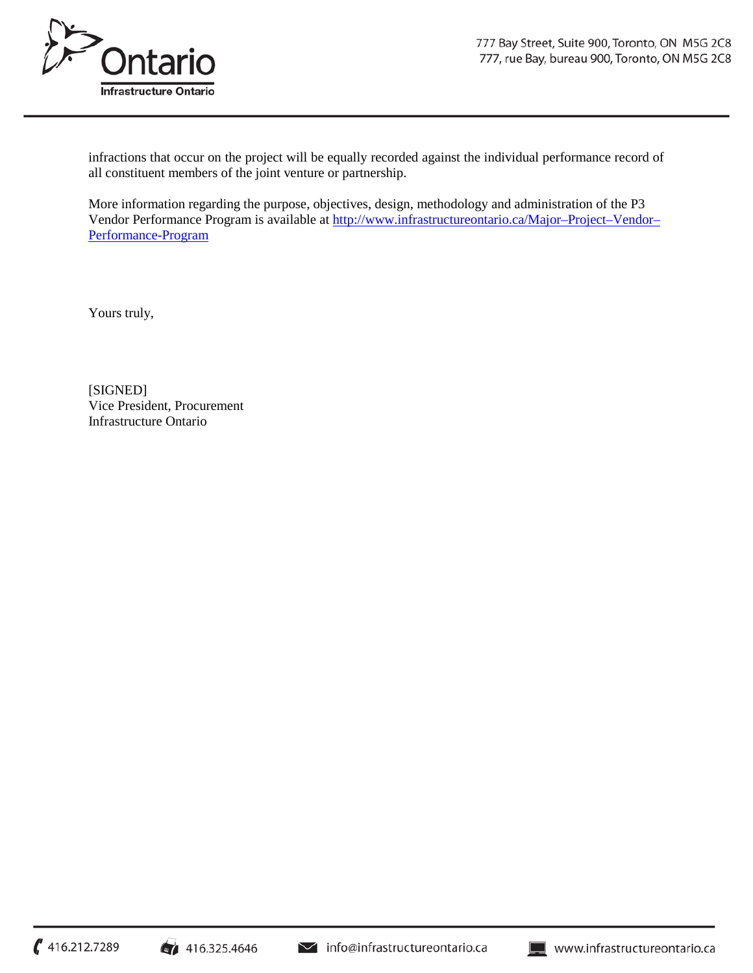

infractions that occur on the project will be equally recorded against the individual performance record of all constituent members of the joint venture or partnership.

More information regarding the purpose, objectives, design, methodology and administration of the P3 Vendor Performance Program is available at [http://www.infrastructureontario.ca/Major–Project–Vendor–](http://www.infrastructureontario.ca/major%E2%80%93project%E2%80%93vendor%E2%80%93performance-program) [Performance-Program](http://www.infrastructureontario.ca/major%E2%80%93project%E2%80%93vendor%E2%80%93performance-program)

Yours truly,

[SIGNED] Vice President, Procurement Infrastructure Ontario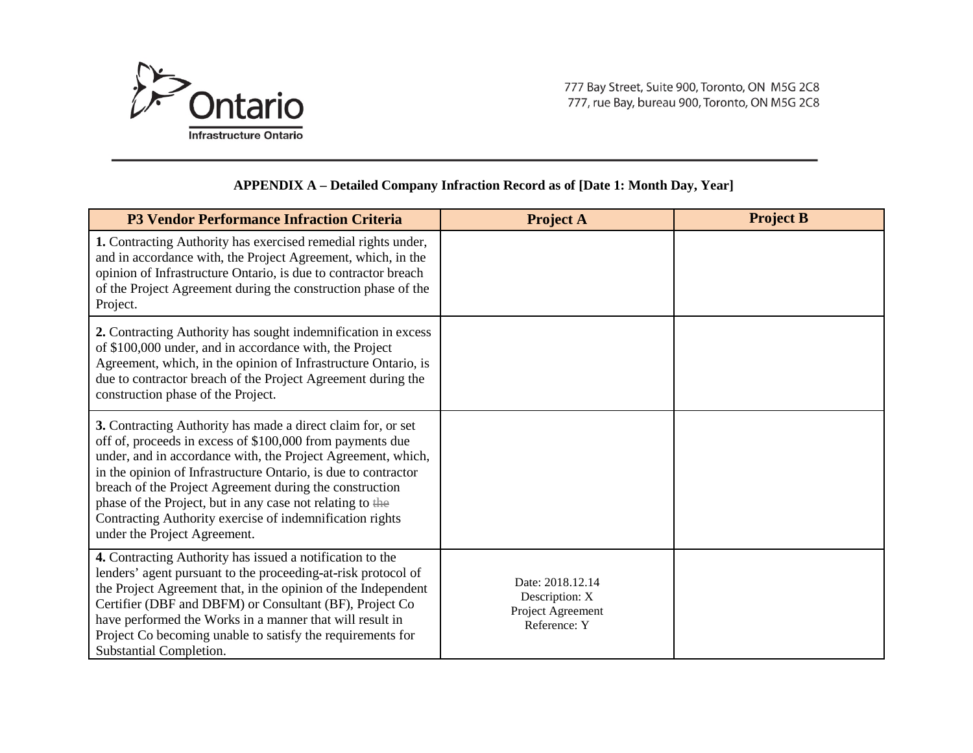

## **APPENDIX A – Detailed Company Infraction Record as of [Date 1: Month Day, Year]**

| <b>P3 Vendor Performance Infraction Criteria</b>                                                                                                                                                                                                                                                                                                                                                                                                                                | <b>Project A</b>                                                        | <b>Project B</b> |
|---------------------------------------------------------------------------------------------------------------------------------------------------------------------------------------------------------------------------------------------------------------------------------------------------------------------------------------------------------------------------------------------------------------------------------------------------------------------------------|-------------------------------------------------------------------------|------------------|
| 1. Contracting Authority has exercised remedial rights under,<br>and in accordance with, the Project Agreement, which, in the<br>opinion of Infrastructure Ontario, is due to contractor breach<br>of the Project Agreement during the construction phase of the<br>Project.                                                                                                                                                                                                    |                                                                         |                  |
| 2. Contracting Authority has sought indemnification in excess<br>of \$100,000 under, and in accordance with, the Project<br>Agreement, which, in the opinion of Infrastructure Ontario, is<br>due to contractor breach of the Project Agreement during the<br>construction phase of the Project.                                                                                                                                                                                |                                                                         |                  |
| 3. Contracting Authority has made a direct claim for, or set<br>off of, proceeds in excess of \$100,000 from payments due<br>under, and in accordance with, the Project Agreement, which,<br>in the opinion of Infrastructure Ontario, is due to contractor<br>breach of the Project Agreement during the construction<br>phase of the Project, but in any case not relating to the<br>Contracting Authority exercise of indemnification rights<br>under the Project Agreement. |                                                                         |                  |
| 4. Contracting Authority has issued a notification to the<br>lenders' agent pursuant to the proceeding-at-risk protocol of<br>the Project Agreement that, in the opinion of the Independent<br>Certifier (DBF and DBFM) or Consultant (BF), Project Co<br>have performed the Works in a manner that will result in<br>Project Co becoming unable to satisfy the requirements for<br>Substantial Completion.                                                                     | Date: 2018.12.14<br>Description: X<br>Project Agreement<br>Reference: Y |                  |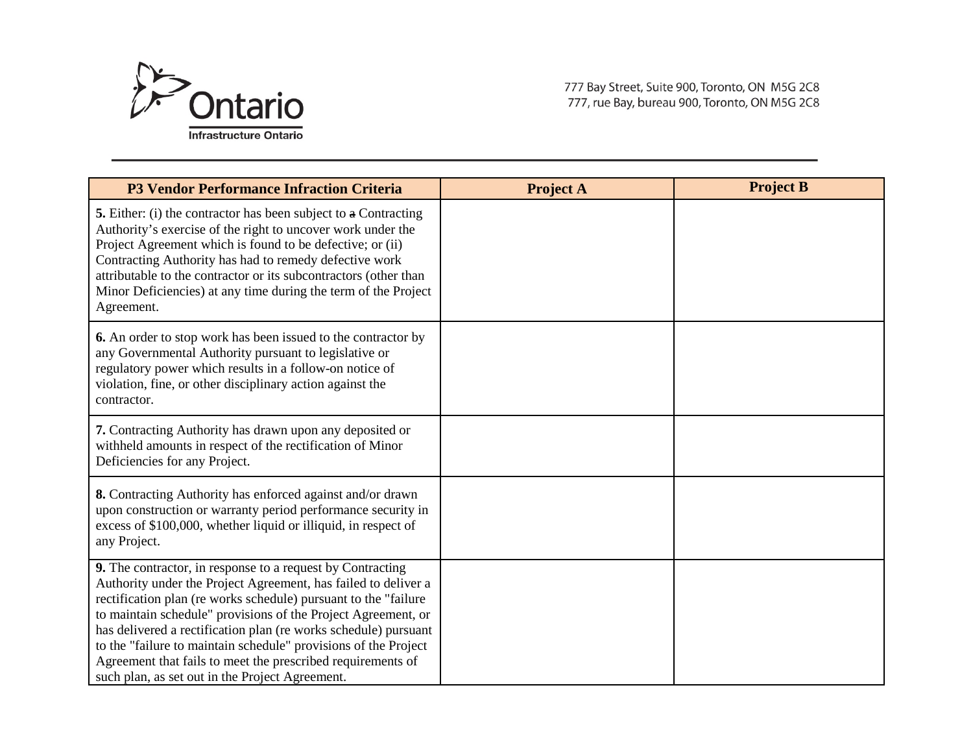

777 Bay Street, Suite 900, Toronto, ON M5G 2C8 777, rue Bay, bureau 900, Toronto, ON M5G 2C8

| <b>P3 Vendor Performance Infraction Criteria</b>                                                                                                                                                                                                                                                                                                                                                                                                                                                                          | <b>Project A</b> | <b>Project B</b> |
|---------------------------------------------------------------------------------------------------------------------------------------------------------------------------------------------------------------------------------------------------------------------------------------------------------------------------------------------------------------------------------------------------------------------------------------------------------------------------------------------------------------------------|------------------|------------------|
| <b>5.</b> Either: (i) the contractor has been subject to a Contracting<br>Authority's exercise of the right to uncover work under the<br>Project Agreement which is found to be defective; or (ii)<br>Contracting Authority has had to remedy defective work<br>attributable to the contractor or its subcontractors (other than<br>Minor Deficiencies) at any time during the term of the Project<br>Agreement.                                                                                                          |                  |                  |
| <b>6.</b> An order to stop work has been issued to the contractor by<br>any Governmental Authority pursuant to legislative or<br>regulatory power which results in a follow-on notice of<br>violation, fine, or other disciplinary action against the<br>contractor.                                                                                                                                                                                                                                                      |                  |                  |
| 7. Contracting Authority has drawn upon any deposited or<br>withheld amounts in respect of the rectification of Minor<br>Deficiencies for any Project.                                                                                                                                                                                                                                                                                                                                                                    |                  |                  |
| 8. Contracting Authority has enforced against and/or drawn<br>upon construction or warranty period performance security in<br>excess of \$100,000, whether liquid or illiquid, in respect of<br>any Project.                                                                                                                                                                                                                                                                                                              |                  |                  |
| 9. The contractor, in response to a request by Contracting<br>Authority under the Project Agreement, has failed to deliver a<br>rectification plan (re works schedule) pursuant to the "failure"<br>to maintain schedule" provisions of the Project Agreement, or<br>has delivered a rectification plan (re works schedule) pursuant<br>to the "failure to maintain schedule" provisions of the Project<br>Agreement that fails to meet the prescribed requirements of<br>such plan, as set out in the Project Agreement. |                  |                  |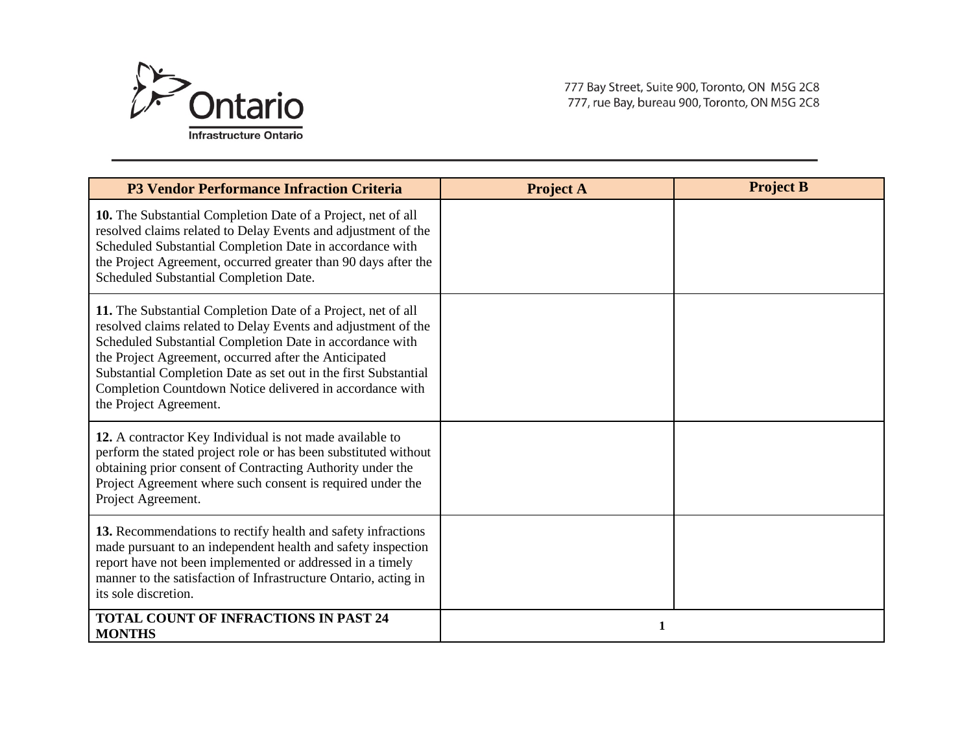

777 Bay Street, Suite 900, Toronto, ON M5G 2C8 777, rue Bay, bureau 900, Toronto, ON M5G 2C8

| <b>P3 Vendor Performance Infraction Criteria</b>                                                                                                                                                                                                                                                                                                                                                            | <b>Project A</b> | <b>Project B</b> |
|-------------------------------------------------------------------------------------------------------------------------------------------------------------------------------------------------------------------------------------------------------------------------------------------------------------------------------------------------------------------------------------------------------------|------------------|------------------|
| 10. The Substantial Completion Date of a Project, net of all<br>resolved claims related to Delay Events and adjustment of the<br>Scheduled Substantial Completion Date in accordance with<br>the Project Agreement, occurred greater than 90 days after the<br>Scheduled Substantial Completion Date.                                                                                                       |                  |                  |
| 11. The Substantial Completion Date of a Project, net of all<br>resolved claims related to Delay Events and adjustment of the<br>Scheduled Substantial Completion Date in accordance with<br>the Project Agreement, occurred after the Anticipated<br>Substantial Completion Date as set out in the first Substantial<br>Completion Countdown Notice delivered in accordance with<br>the Project Agreement. |                  |                  |
| 12. A contractor Key Individual is not made available to<br>perform the stated project role or has been substituted without<br>obtaining prior consent of Contracting Authority under the<br>Project Agreement where such consent is required under the<br>Project Agreement.                                                                                                                               |                  |                  |
| 13. Recommendations to rectify health and safety infractions<br>made pursuant to an independent health and safety inspection<br>report have not been implemented or addressed in a timely<br>manner to the satisfaction of Infrastructure Ontario, acting in<br>its sole discretion.                                                                                                                        |                  |                  |
| <b>TOTAL COUNT OF INFRACTIONS IN PAST 24</b><br><b>MONTHS</b>                                                                                                                                                                                                                                                                                                                                               |                  |                  |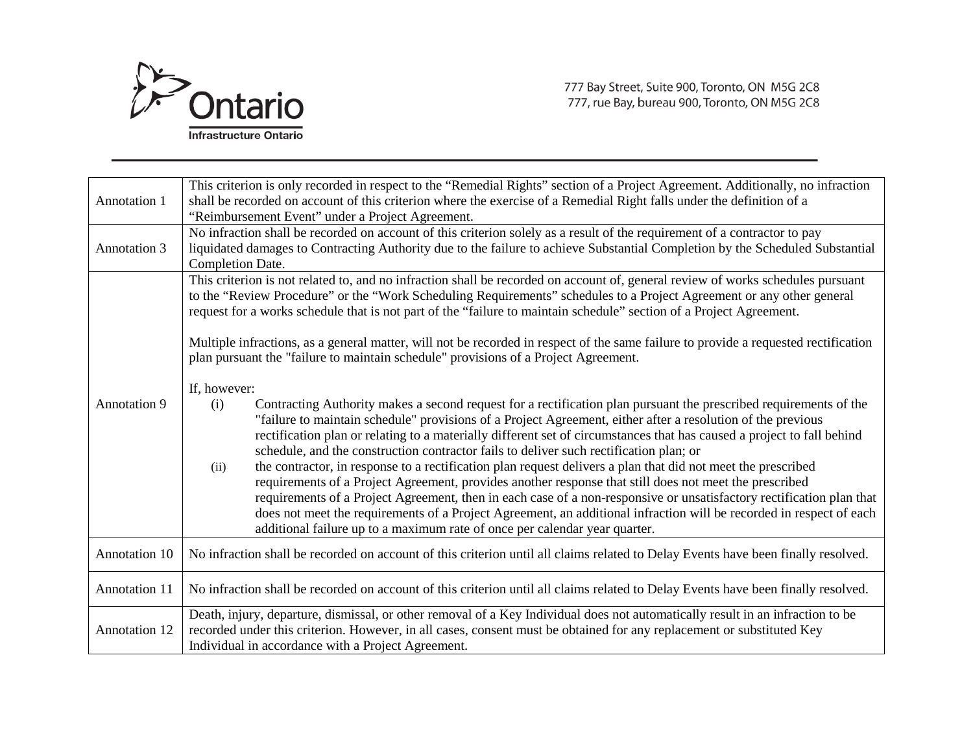

| <b>Annotation 1</b>  | This criterion is only recorded in respect to the "Remedial Rights" section of a Project Agreement. Additionally, no infraction<br>shall be recorded on account of this criterion where the exercise of a Remedial Right falls under the definition of a<br>"Reimbursement Event" under a Project Agreement.                                                                                                                                                                                                                                                                                                                                                                                                                                                                                                                                                                                                                                                                                                                               |  |  |  |  |  |
|----------------------|--------------------------------------------------------------------------------------------------------------------------------------------------------------------------------------------------------------------------------------------------------------------------------------------------------------------------------------------------------------------------------------------------------------------------------------------------------------------------------------------------------------------------------------------------------------------------------------------------------------------------------------------------------------------------------------------------------------------------------------------------------------------------------------------------------------------------------------------------------------------------------------------------------------------------------------------------------------------------------------------------------------------------------------------|--|--|--|--|--|
| <b>Annotation 3</b>  | No infraction shall be recorded on account of this criterion solely as a result of the requirement of a contractor to pay<br>liquidated damages to Contracting Authority due to the failure to achieve Substantial Completion by the Scheduled Substantial<br>Completion Date.                                                                                                                                                                                                                                                                                                                                                                                                                                                                                                                                                                                                                                                                                                                                                             |  |  |  |  |  |
|                      | This criterion is not related to, and no infraction shall be recorded on account of, general review of works schedules pursuant<br>to the "Review Procedure" or the "Work Scheduling Requirements" schedules to a Project Agreement or any other general<br>request for a works schedule that is not part of the "failure to maintain schedule" section of a Project Agreement.<br>Multiple infractions, as a general matter, will not be recorded in respect of the same failure to provide a requested rectification<br>plan pursuant the "failure to maintain schedule" provisions of a Project Agreement.                                                                                                                                                                                                                                                                                                                                                                                                                              |  |  |  |  |  |
| Annotation 9         | If, however:<br>(i)<br>Contracting Authority makes a second request for a rectification plan pursuant the prescribed requirements of the<br>"failure to maintain schedule" provisions of a Project Agreement, either after a resolution of the previous<br>rectification plan or relating to a materially different set of circumstances that has caused a project to fall behind<br>schedule, and the construction contractor fails to deliver such rectification plan; or<br>the contractor, in response to a rectification plan request delivers a plan that did not meet the prescribed<br>(ii)<br>requirements of a Project Agreement, provides another response that still does not meet the prescribed<br>requirements of a Project Agreement, then in each case of a non-responsive or unsatisfactory rectification plan that<br>does not meet the requirements of a Project Agreement, an additional infraction will be recorded in respect of each<br>additional failure up to a maximum rate of once per calendar year quarter. |  |  |  |  |  |
| Annotation 10        | No infraction shall be recorded on account of this criterion until all claims related to Delay Events have been finally resolved.                                                                                                                                                                                                                                                                                                                                                                                                                                                                                                                                                                                                                                                                                                                                                                                                                                                                                                          |  |  |  |  |  |
| Annotation 11        | No infraction shall be recorded on account of this criterion until all claims related to Delay Events have been finally resolved.                                                                                                                                                                                                                                                                                                                                                                                                                                                                                                                                                                                                                                                                                                                                                                                                                                                                                                          |  |  |  |  |  |
| <b>Annotation 12</b> | Death, injury, departure, dismissal, or other removal of a Key Individual does not automatically result in an infraction to be<br>recorded under this criterion. However, in all cases, consent must be obtained for any replacement or substituted Key<br>Individual in accordance with a Project Agreement.                                                                                                                                                                                                                                                                                                                                                                                                                                                                                                                                                                                                                                                                                                                              |  |  |  |  |  |